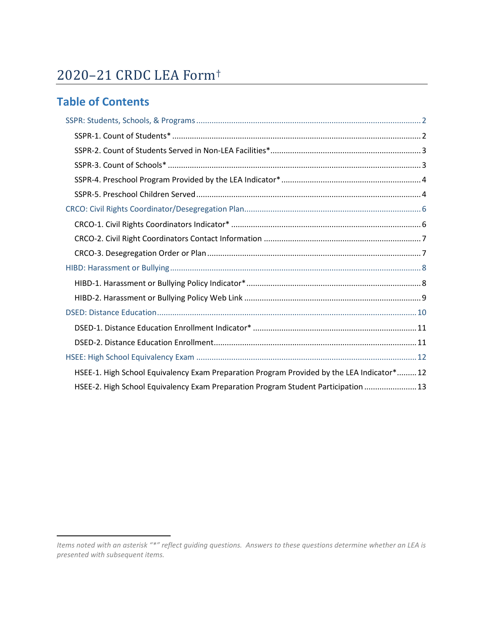# 2020–21 CRDC LEA Form[†](#page-0-0)

# **Table of Contents**

| HSEE-1. High School Equivalency Exam Preparation Program Provided by the LEA Indicator*12 |
|-------------------------------------------------------------------------------------------|
| HSEE-2. High School Equivalency Exam Preparation Program Student Participation  13        |

<span id="page-0-0"></span>*Items noted with an asterisk "\*" reflect guiding questions. Answers to these questions determine whether an LEA is presented with subsequent items.*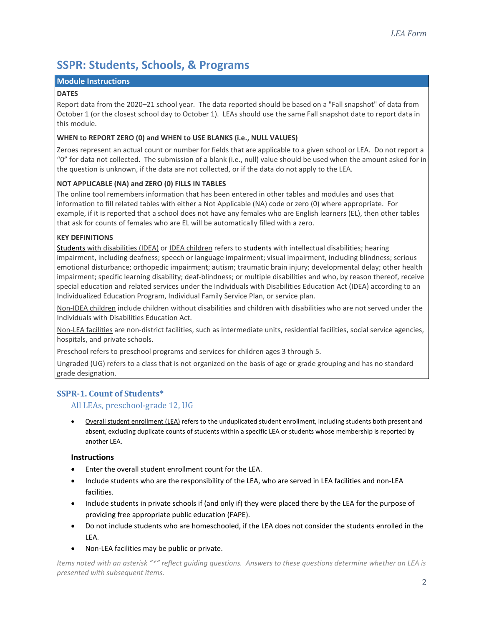# <span id="page-1-0"></span>**SSPR: Students, Schools, & Programs**

#### **Module Instructions**

#### <span id="page-1-2"></span>**DATES**

Report data from the 2020–21 school year. The data reported should be based on a "Fall snapshot" of data from October 1 (or the closest school day to October 1). LEAs should use the same Fall snapshot date to report data in this module.

#### **WHEN to REPORT ZERO (0) and WHEN to USE BLANKS (i.e., NULL VALUES)**

Zeroes represent an actual count or number for fields that are applicable to a given school or LEA. Do not report a "0" for data not collected. The submission of a blank (i.e., null) value should be used when the amount asked for in the question is unknown, if the data are not collected, or if the data do not apply to the LEA.

## **NOT APPLICABLE (NA) and ZERO (0) FILLS IN TABLES**

The online tool remembers information that has been entered in other tables and modules and uses that information to fill related tables with either a Not Applicable (NA) code or zero (0) where appropriate. For example, if it is reported that a school does not have any females who are English learners (EL), then other tables that ask for counts of females who are EL will be automatically filled with a zero.

## **KEY DEFINITIONS**

<span id="page-1-5"></span>Students with disabilities (IDEA) or IDEA children refers to students with intellectual disabilities; hearing impairment, including deafness; speech or language impairment; visual impairment, including blindness; serious emotional disturbance; orthopedic impairment; autism; traumatic brain injury; developmental delay; other health impairment; specific learning disability; deaf-blindness; or multiple disabilities and who, by reason thereof, receive special education and related services under the Individuals with Disabilities Education Act (IDEA) according to an Individualized Education Program, Individual Family Service Plan, or service plan.

<span id="page-1-6"></span>Non-IDEA children include children without disabilities and children with disabilities who are not served under the Individuals with Disabilities Education Act.

<span id="page-1-4"></span>Non-LEA facilities are non-district facilities, such as intermediate units, residential facilities, social service agencies, hospitals, and private schools.

<span id="page-1-3"></span>Preschool refers to preschool programs and services for children ages 3 through 5.

Ungraded (UG) refers to a class that is not organized on the basis of age or grade grouping and has no standard grade designation.

# <span id="page-1-1"></span>**SSPR-1. Count of Students\***

# All LEAs, preschool-grade 12, UG

• Overall student enrollment (LEA) refers to the unduplicated student enrollment, including students both present and absent, excluding duplicate counts of students within a specific LEA or students whose membership is reported by another LEA.

#### **Instructions**

- Enter the overall student enrollment count for the LEA.
- Include students who are the responsibility of the LEA, who are served in LEA facilities and non-LEA facilities.
- Include students in private schools if (and only if) they were placed there by the LEA for the purpose of providing free appropriate public education (FAPE).
- Do not include students who are homeschooled, if the LEA does not consider the students enrolled in the LEA.
- Non-LEA facilities may be public or private.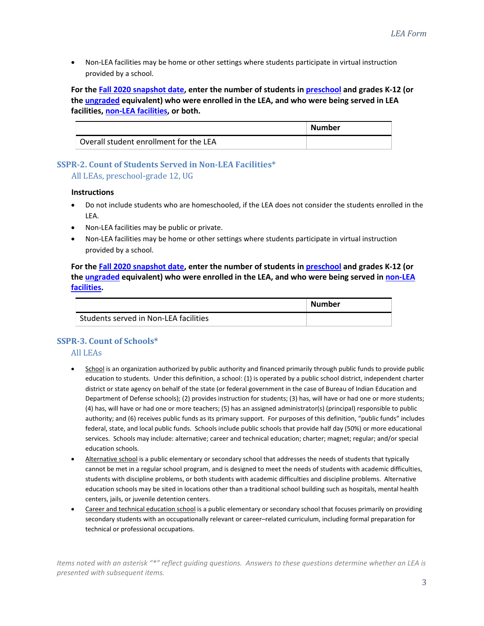• Non-LEA facilities may be home or other settings where students participate in virtual instruction provided by a school.

**For the Fall 2020 [snapshot date,](#page-1-2) enter the number of students in [preschool](#page-1-3) and grades K-12 (or the ungraded equivalent) who were enrolled in the LEA, and who were being served in LEA facilities[, non-LEA facilities,](#page-1-4) or both.** 

|                                        | <b>Number</b> |
|----------------------------------------|---------------|
| Overall student enrollment for the LEA |               |

# <span id="page-2-0"></span>**SSPR-2. Count of Students Served in Non-LEA Facilities\***  All LEAs, preschool-grade 12, UG

## **Instructions**

- Do not include students who are homeschooled, if the LEA does not consider the students enrolled in the LEA.
- Non-LEA facilities may be public or private.
- Non-LEA facilities may be home or other settings where students participate in virtual instruction provided by a school.

**For the Fall 2020 [snapshot date,](#page-1-2) enter the number of students in [preschool](#page-1-3) and grades K-12 (or the ungraded equivalent) who were enrolled in the LEA, and who were being served in [non-LEA](#page-1-4)  [facilities.](#page-1-4)** 

|                                       | Number |
|---------------------------------------|--------|
| Students served in Non-LEA facilities |        |

# <span id="page-2-1"></span>**SSPR-3. Count of Schools\***

# All LEAs

- School is an organization authorized by public authority and financed primarily through public funds to provide public education to students. Under this definition, a school: (1) is operated by a public school district, independent charter district or state agency on behalf of the state (or federal government in the case of Bureau of Indian Education and Department of Defense schools); (2) provides instruction for students; (3) has, will have or had one or more students; (4) has, will have or had one or more teachers; (5) has an assigned administrator(s) (principal) responsible to public authority; and (6) receives public funds as its primary support. For purposes of this definition, "public funds" includes federal, state, and local public funds. Schools include public schools that provide half day (50%) or more educational services. Schools may include: alternative; career and technical education; charter; magnet; regular; and/or special education schools.
- Alternative school is a public elementary or secondary school that addresses the needs of students that typically cannot be met in a regular school program, and is designed to meet the needs of students with academic difficulties, students with discipline problems, or both students with academic difficulties and discipline problems. Alternative education schools may be sited in locations other than a traditional school building such as hospitals, mental health centers, jails, or juvenile detention centers.
- Career and technical education school is a public elementary or secondary school that focuses primarily on providing secondary students with an occupationally relevant or career–related curriculum, including formal preparation for technical or professional occupations.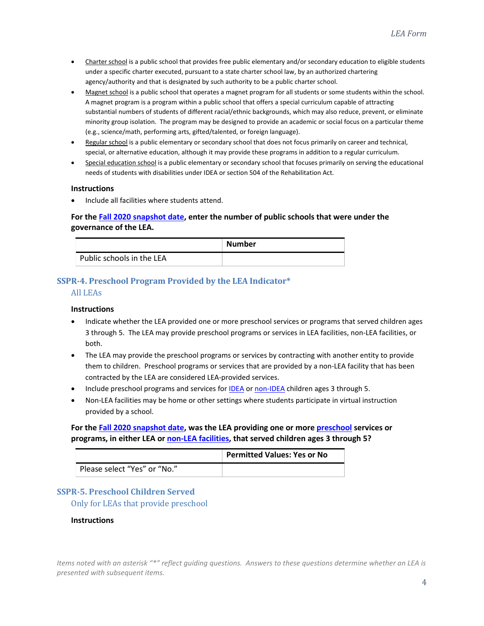- Charter school is a public school that provides free public elementary and/or secondary education to eligible students under a specific charter executed, pursuant to a state charter school law, by an authorized chartering agency/authority and that is designated by such authority to be a public charter school.
- Magnet school is a public school that operates a magnet program for all students or some students within the school. A magnet program is a program within a public school that offers a special curriculum capable of attracting substantial numbers of students of different racial/ethnic backgrounds, which may also reduce, prevent, or eliminate minority group isolation. The program may be designed to provide an academic or social focus on a particular theme (e.g., science/math, performing arts, gifted/talented, or foreign language).
- Regular school is a public elementary or secondary school that does not focus primarily on career and technical, special, or alternative education, although it may provide these programs in addition to a regular curriculum.
- Special education school is a public elementary or secondary school that focuses primarily on serving the educational needs of students with disabilities under IDEA or section 504 of the Rehabilitation Act.

#### **Instructions**

• Include all facilities where students attend.

# **For the Fall 2020 [snapshot date,](#page-1-2) enter the number of public schools that were under the governance of the LEA.**

|                           | <b>Number</b> |
|---------------------------|---------------|
| Public schools in the LEA |               |

# <span id="page-3-0"></span>**SSPR-4. Preschool Program Provided by the LEA Indicator\***

# All LEAs

#### **Instructions**

- Indicate whether the LEA provided one or more preschool services or programs that served children ages 3 through 5. The LEA may provide preschool programs or services in LEA facilities, non-LEA facilities, or both.
- The LEA may provide the preschool programs or services by contracting with another entity to provide them to children. Preschool programs or services that are provided by a non-LEA facility that has been contracted by the LEA are considered LEA-provided services.
- Include preschool programs and services for **IDEA** o[r non-IDEA](#page-1-6) children ages 3 through 5.
- Non-LEA facilities may be home or other settings where students participate in virtual instruction provided by a school.

# **For the Fall 2020 [snapshot date,](#page-1-2) was the LEA providing one or mor[e preschool](#page-1-3) services or programs, in either LEA o[r non-LEA facilities,](#page-1-4) that served children ages 3 through 5?**

|                              | <b>Permitted Values: Yes or No</b> |
|------------------------------|------------------------------------|
| Please select "Yes" or "No." |                                    |

# <span id="page-3-1"></span>**SSPR-5. Preschool Children Served**

Only for LEAs that provide preschool

#### **Instructions**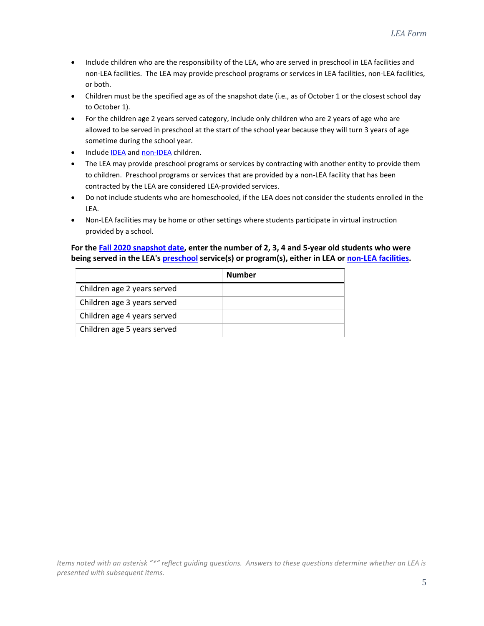- Include children who are the responsibility of the LEA, who are served in preschool in LEA facilities and non-LEA facilities. The LEA may provide preschool programs or services in LEA facilities, non-LEA facilities, or both.
- Children must be the specified age as of the snapshot date (i.e., as of October 1 or the closest school day to October 1).
- For the children age 2 years served category, include only children who are 2 years of age who are allowed to be served in preschool at the start of the school year because they will turn 3 years of age sometime during the school year.
- Include **IDEA** and [non-IDEA](#page-1-6) children.
- The LEA may provide preschool programs or services by contracting with another entity to provide them to children. Preschool programs or services that are provided by a non-LEA facility that has been contracted by the LEA are considered LEA-provided services.
- Do not include students who are homeschooled, if the LEA does not consider the students enrolled in the LEA.
- Non-LEA facilities may be home or other settings where students participate in virtual instruction provided by a school.

# **For the Fall 2020 [snapshot date,](#page-1-2) enter the number of 2, 3, 4 and 5-year old students who were being served in the LEA'[s preschool](#page-1-3) service(s) or program(s), either in LEA or [non-LEA facilities.](#page-1-4)**

|                             | Number |
|-----------------------------|--------|
| Children age 2 years served |        |
| Children age 3 years served |        |
| Children age 4 years served |        |
| Children age 5 years served |        |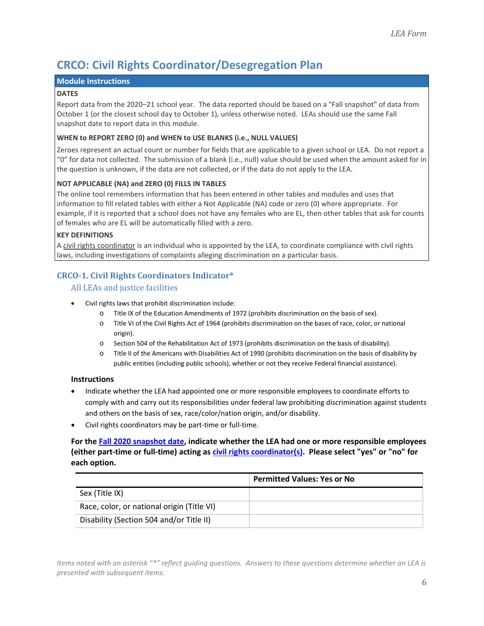# <span id="page-5-0"></span>**CRCO: Civil Rights Coordinator/Desegregation Plan**

## **Module Instructions**

#### <span id="page-5-2"></span>**DATES**

Report data from the 2020–21 school year. The data reported should be based on a "Fall snapshot" of data from October 1 (or the closest school day to October 1), unless otherwise noted. LEAs should use the same Fall snapshot date to report data in this module.

## **WHEN to REPORT ZERO (0) and WHEN to USE BLANKS (i.e., NULL VALUES)**

Zeroes represent an actual count or number for fields that are applicable to a given school or LEA. Do not report a "0" for data not collected. The submission of a blank (i.e., null) value should be used when the amount asked for in the question is unknown, if the data are not collected, or if the data do not apply to the LEA.

# **NOT APPLICABLE (NA) and ZERO (0) FILLS IN TABLES**

The online tool remembers information that has been entered in other tables and modules and uses that information to fill related tables with either a Not Applicable (NA) code or zero (0) where appropriate. For example, if it is reported that a school does not have any females who are EL, then other tables that ask for counts of females who are EL will be automatically filled with a zero.

## **KEY DEFINITIONS**

<span id="page-5-3"></span>A civil rights coordinator is an individual who is appointed by the LEA, to coordinate compliance with civil rights laws, including investigations of complaints alleging discrimination on a particular basis.

# <span id="page-5-1"></span>**CRCO-1. Civil Rights Coordinators Indicator\***

All LEAs and justice facilities

- Civil rights laws that prohibit discrimination include:
	- o Title IX of the Education Amendments of 1972 (prohibits discrimination on the basis of sex).
	- o Title VI of the Civil Rights Act of 1964 (prohibits discrimination on the bases of race, color, or national origin).
	- o Section 504 of the Rehabilitation Act of 1973 (prohibits discrimination on the basis of disability).
	- o Title II of the Americans with Disabilities Act of 1990 (prohibits discrimination on the basis of disability by public entities (including public schools), whether or not they receive Federal financial assistance).

#### **Instructions**

- Indicate whether the LEA had appointed one or more responsible employees to coordinate efforts to comply with and carry out its responsibilities under federal law prohibiting discrimination against students and others on the basis of sex, race/color/nation origin, and/or disability.
- Civil rights coordinators may be part-time or full-time.

**For the Fall 2020 [snapshot date,](#page-5-2) indicate whether the LEA had one or more responsible employees (either part-time or full-time) acting as [civil rights coordinator\(s\).](#page-5-3) Please select "yes" or "no" for each option.**

|                                            | <b>Permitted Values: Yes or No</b> |
|--------------------------------------------|------------------------------------|
| Sex (Title IX)                             |                                    |
| Race, color, or national origin (Title VI) |                                    |
| Disability (Section 504 and/or Title II)   |                                    |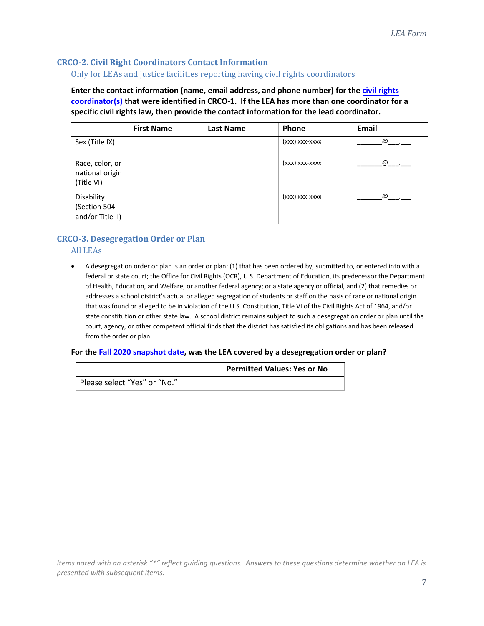# <span id="page-6-0"></span>**CRCO-2. Civil Right Coordinators Contact Information**

## Only for LEAs and justice facilities reporting having civil rights coordinators

**Enter the contact information (name, email address, and phone number) for the [civil rights](#page-5-3) [coordinator\(s\)](#page-5-3) that were identified in CRCO-1. If the LEA has more than one coordinator for a specific civil rights law, then provide the contact information for the lead coordinator.** 

|                                                  | <b>First Name</b> | Last Name | Phone          | Email |
|--------------------------------------------------|-------------------|-----------|----------------|-------|
| Sex (Title IX)                                   |                   |           | (xxx) xxx-xxxx | @     |
| Race, color, or<br>national origin<br>(Title VI) |                   |           | (xxx) xxx-xxxx | @     |
| Disability<br>(Section 504<br>and/or Title II)   |                   |           | (xxx) xxx-xxxx | @     |

# <span id="page-6-1"></span>**CRCO-3. Desegregation Order or Plan**

# All LEAs

• A desegregation order or plan is an order or plan: (1) that has been ordered by, submitted to, or entered into with a federal or state court; the Office for Civil Rights (OCR), U.S. Department of Education, its predecessor the Department of Health, Education, and Welfare, or another federal agency; or a state agency or official, and (2) that remedies or addresses a school district's actual or alleged segregation of students or staff on the basis of race or national origin that was found or alleged to be in violation of the U.S. Constitution, Title VI of the Civil Rights Act of 1964, and/or state constitution or other state law. A school district remains subject to such a desegregation order or plan until the court, agency, or other competent official finds that the district has satisfied its obligations and has been released from the order or plan.

#### **For the Fall 2020 [snapshot date,](#page-5-2) was the LEA covered by a desegregation order or plan?**

|                              | <b>Permitted Values: Yes or No</b> |
|------------------------------|------------------------------------|
| Please select "Yes" or "No." |                                    |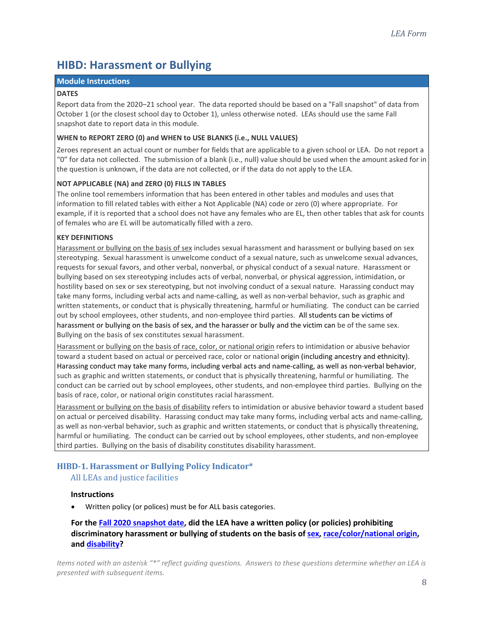# <span id="page-7-0"></span>**HIBD: Harassment or Bullying**

#### **Module Instructions**

#### <span id="page-7-2"></span>**DATES**

Report data from the 2020–21 school year. The data reported should be based on a "Fall snapshot" of data from October 1 (or the closest school day to October 1), unless otherwise noted. LEAs should use the same Fall snapshot date to report data in this module.

#### **WHEN to REPORT ZERO (0) and WHEN to USE BLANKS (i.e., NULL VALUES)**

Zeroes represent an actual count or number for fields that are applicable to a given school or LEA. Do not report a "0" for data not collected. The submission of a blank (i.e., null) value should be used when the amount asked for in the question is unknown, if the data are not collected, or if the data do not apply to the LEA.

#### **NOT APPLICABLE (NA) and ZERO (0) FILLS IN TABLES**

The online tool remembers information that has been entered in other tables and modules and uses that information to fill related tables with either a Not Applicable (NA) code or zero (0) where appropriate. For example, if it is reported that a school does not have any females who are EL, then other tables that ask for counts of females who are EL will be automatically filled with a zero.

#### **KEY DEFINITIONS**

<span id="page-7-3"></span>Harassment or bullying on the basis of sex includes sexual harassment and harassment or bullying based on sex stereotyping. Sexual harassment is unwelcome conduct of a sexual nature, such as unwelcome sexual advances, requests for sexual favors, and other verbal, nonverbal, or physical conduct of a sexual nature. Harassment or bullying based on sex stereotyping includes acts of verbal, nonverbal, or physical aggression, intimidation, or hostility based on sex or sex stereotyping, but not involving conduct of a sexual nature. Harassing conduct may take many forms, including verbal acts and name-calling, as well as non-verbal behavior, such as graphic and written statements, or conduct that is physically threatening, harmful or humiliating. The conduct can be carried out by school employees, other students, and non-employee third parties. All students can be victims of harassment or bullying on the basis of sex, and the harasser or bully and the victim can be of the same sex. Bullying on the basis of sex constitutes sexual harassment.

<span id="page-7-4"></span>Harassment or bullying on the basis of race, color, or national origin refers to intimidation or abusive behavior toward a student based on actual or perceived race, color or national origin (including ancestry and ethnicity). Harassing conduct may take many forms, including verbal acts and name-calling, as well as non-verbal behavior, such as graphic and written statements, or conduct that is physically threatening, harmful or humiliating. The conduct can be carried out by school employees, other students, and non-employee third parties. Bullying on the basis of race, color, or national origin constitutes racial harassment.

<span id="page-7-5"></span>Harassment or bullying on the basis of disability refers to intimidation or abusive behavior toward a student based on actual or perceived disability. Harassing conduct may take many forms, including verbal acts and name-calling, as well as non-verbal behavior, such as graphic and written statements, or conduct that is physically threatening, harmful or humiliating. The conduct can be carried out by school employees, other students, and non-employee third parties. Bullying on the basis of disability constitutes disability harassment.

# <span id="page-7-1"></span>**HIBD-1. Harassment or Bullying Policy Indicator\***

#### All LEAs and justice facilities

#### **Instructions**

• Written policy (or polices) must be for ALL basis categories.

# **For the Fall 2020 [snapshot date,](#page-7-2) did the LEA have a written policy (or policies) prohibiting discriminatory harassment or bullying of students on the basis of [sex,](#page-7-3) [race/color/national origin,](#page-7-4) an[d disability?](#page-7-5)**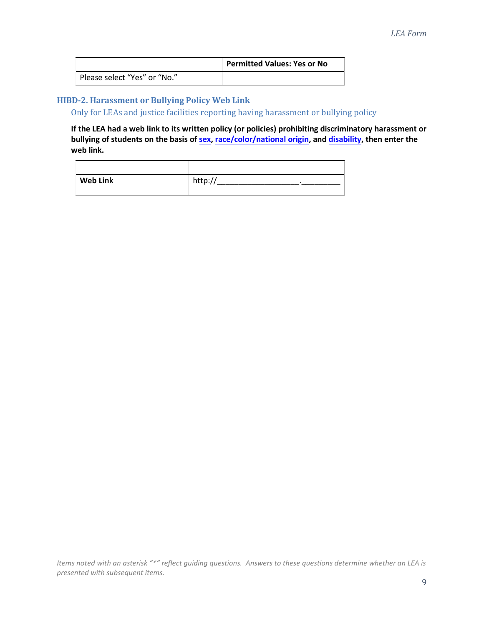|                              | <b>Permitted Values: Yes or No</b> |
|------------------------------|------------------------------------|
| Please select "Yes" or "No." |                                    |

# <span id="page-8-0"></span>**HIBD-2. Harassment or Bullying Policy Web Link**

Only for LEAs and justice facilities reporting having harassment or bullying policy

**If the LEA had a web link to its written policy (or policies) prohibiting discriminatory harassment or bullying of students on the basis of [sex,](#page-7-3) [race/color/national origin,](#page-7-4) an[d disability,](#page-7-5) then enter the web link.** 

| <b>Web Link</b> | http:// |
|-----------------|---------|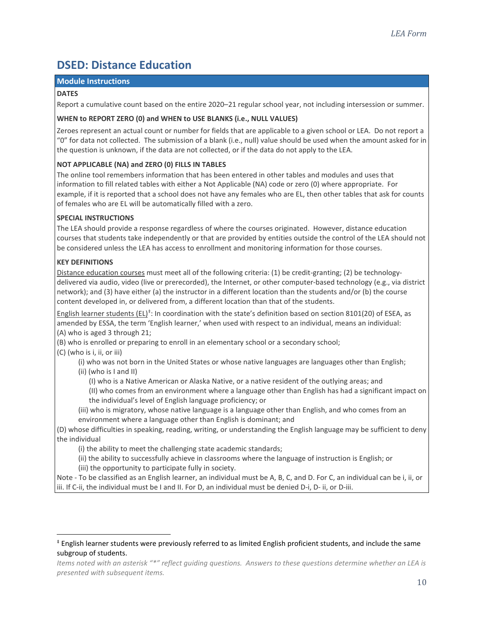# <span id="page-9-0"></span>**DSED: Distance Education**

#### **Module Instructions**

#### **DATES**

Report a cumulative count based on the entire 2020–21 regular school year, not including intersession or summer.

#### **WHEN to REPORT ZERO (0) and WHEN to USE BLANKS (i.e., NULL VALUES)**

Zeroes represent an actual count or number for fields that are applicable to a given school or LEA. Do not report a "0" for data not collected. The submission of a blank (i.e., null) value should be used when the amount asked for in the question is unknown, if the data are not collected, or if the data do not apply to the LEA.

# **NOT APPLICABLE (NA) and ZERO (0) FILLS IN TABLES**

The online tool remembers information that has been entered in other tables and modules and uses that information to fill related tables with either a Not Applicable (NA) code or zero (0) where appropriate. For example, if it is reported that a school does not have any females who are EL, then other tables that ask for counts of females who are EL will be automatically filled with a zero.

## **SPECIAL INSTRUCTIONS**

The LEA should provide a response regardless of where the courses originated. However, distance education courses that students take independently or that are provided by entities outside the control of the LEA should not be considered unless the LEA has access to enrollment and monitoring information for those courses.

## **KEY DEFINITIONS**

<span id="page-9-2"></span>Distance education courses must meet all of the following criteria: (1) be credit-granting; (2) be technologydelivered via audio, video (live or prerecorded), the Internet, or other computer-based technology (e.g., via district network); and (3) have either (a) the instructor in a different location than the students and/or (b) the course content developed in, or delivered from, a different location than that of the students.

<span id="page-9-3"></span>English learner students (EL)<sup>[‡](#page-9-1)</sup>: In coordination with the state's definition based on section 8101(20) of ESEA, as amended by ESSA, the term 'English learner,' when used with respect to an individual, means an individual: (A) who is aged 3 through 21;

(B) who is enrolled or preparing to enroll in an elementary school or a secondary school;

#### (C) (who is i, ii, or iii)

(i) who was not born in the United States or whose native languages are languages other than English; (ii) (who is I and II)

(I) who is a Native American or Alaska Native, or a native resident of the outlying areas; and

(II) who comes from an environment where a language other than English has had a significant impact on the individual's level of English language proficiency; or

(iii) who is migratory, whose native language is a language other than English, and who comes from an environment where a language other than English is dominant; and

(D) whose difficulties in speaking, reading, writing, or understanding the English language may be sufficient to deny the individual

(i) the ability to meet the challenging state academic standards;

(ii) the ability to successfully achieve in classrooms where the language of instruction is English; or

(iii) the opportunity to participate fully in society.

Note - To be classified as an English learner, an individual must be A, B, C, and D. For C, an individual can be i, ii, or iii. If C-ii, the individual must be I and II. For D, an individual must be denied D-i, D- ii, or D-iii.

<span id="page-9-1"></span><sup>‡</sup> English learner students were previously referred to as limited English proficient students, and include the same subgroup of students.

*Items noted with an asterisk "\*" reflect guiding questions. Answers to these questions determine whether an LEA is presented with subsequent items.*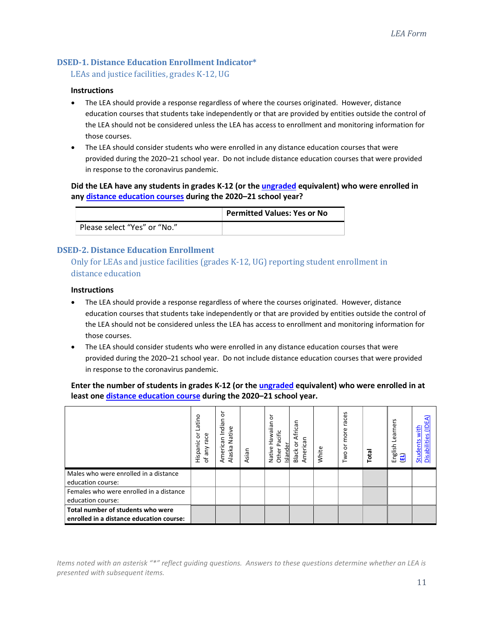# <span id="page-10-0"></span>**DSED-1. Distance Education Enrollment Indicator\***

LEAs and justice facilities, grades K-12, UG

#### **Instructions**

- The LEA should provide a response regardless of where the courses originated. However, distance education courses that students take independently or that are provided by entities outside the control of the LEA should not be considered unless the LEA has access to enrollment and monitoring information for those courses.
- The LEA should consider students who were enrolled in any distance education courses that were provided during the 2020–21 school year. Do not include distance education courses that were provided in response to the coronavirus pandemic.

# **Did the LEA have any students in grades K-12 (or the ungraded equivalent) who were enrolled in any [distance education courses](#page-9-2) during the 2020–21 school year?**

|                              | <b>Permitted Values: Yes or No</b> |
|------------------------------|------------------------------------|
| Please select "Yes" or "No." |                                    |

# <span id="page-10-1"></span>**DSED-2. Distance Education Enrollment**

Only for LEAs and justice facilities (grades K-12, UG) reporting student enrollment in distance education

## **Instructions**

- The LEA should provide a response regardless of where the courses originated. However, distance education courses that students take independently or that are provided by entities outside the control of the LEA should not be considered unless the LEA has access to enrollment and monitoring information for those courses.
- The LEA should consider students who were enrolled in any distance education courses that were provided during the 2020–21 school year. Do not include distance education courses that were provided in response to the coronavirus pandemic.

**Enter the number of students in grades K-12 (or the ungraded equivalent) who were enrolled in at least one [distance education course](#page-9-2) during the 2020–21 school year.**

|                                                                               | atino<br>race<br>ਨੋ<br>Hispanic<br>of any | ৯<br>Indian<br>Native<br>American<br>Alaska | Asian | o<br>Hawaiian<br>acific<br>Other P<br>ō<br>Native<br>Island | African<br>American<br>ŏ<br>Black | White | races<br>more<br>ŏ<br>Two i | Total | Learners<br>English<br>$\mathbf{E}$ | with<br>Φ<br><b>Students</b><br>Ē<br><b>Disabili</b> |
|-------------------------------------------------------------------------------|-------------------------------------------|---------------------------------------------|-------|-------------------------------------------------------------|-----------------------------------|-------|-----------------------------|-------|-------------------------------------|------------------------------------------------------|
| Males who were enrolled in a distance<br>education course:                    |                                           |                                             |       |                                                             |                                   |       |                             |       |                                     |                                                      |
| Females who were enrolled in a distance<br>education course:                  |                                           |                                             |       |                                                             |                                   |       |                             |       |                                     |                                                      |
| Total number of students who were<br>enrolled in a distance education course: |                                           |                                             |       |                                                             |                                   |       |                             |       |                                     |                                                      |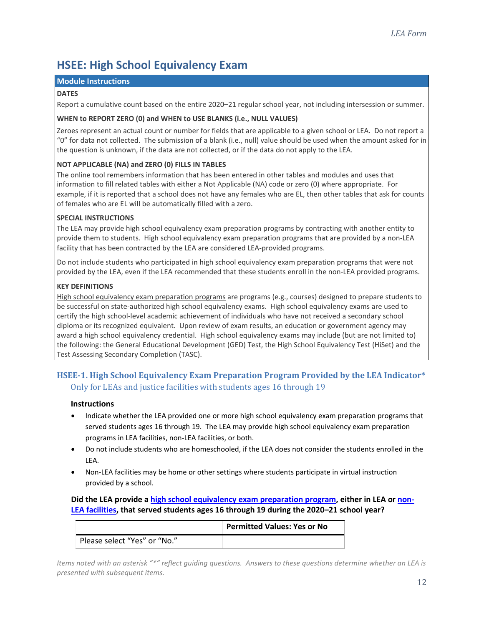# <span id="page-11-0"></span>**HSEE: High School Equivalency Exam**

## **Module Instructions**

#### **DATES**

Report a cumulative count based on the entire 2020–21 regular school year, not including intersession or summer.

## **WHEN to REPORT ZERO (0) and WHEN to USE BLANKS (i.e., NULL VALUES)**

Zeroes represent an actual count or number for fields that are applicable to a given school or LEA. Do not report a "0" for data not collected. The submission of a blank (i.e., null) value should be used when the amount asked for in the question is unknown, if the data are not collected, or if the data do not apply to the LEA.

# **NOT APPLICABLE (NA) and ZERO (0) FILLS IN TABLES**

The online tool remembers information that has been entered in other tables and modules and uses that information to fill related tables with either a Not Applicable (NA) code or zero (0) where appropriate. For example, if it is reported that a school does not have any females who are EL, then other tables that ask for counts of females who are EL will be automatically filled with a zero.

# **SPECIAL INSTRUCTIONS**

The LEA may provide high school equivalency exam preparation programs by contracting with another entity to provide them to students. High school equivalency exam preparation programs that are provided by a non-LEA facility that has been contracted by the LEA are considered LEA-provided programs.

Do not include students who participated in high school equivalency exam preparation programs that were not provided by the LEA, even if the LEA recommended that these students enroll in the non-LEA provided programs.

## **KEY DEFINITIONS**

<span id="page-11-2"></span>High school equivalency exam preparation programs are programs (e.g., courses) designed to prepare students to be successful on state-authorized high school equivalency exams. High school equivalency exams are used to certify the high school-level academic achievement of individuals who have not received a secondary school diploma or its recognized equivalent. Upon review of exam results, an education or government agency may award a high school equivalency credential. High school equivalency exams may include (but are not limited to) the following: the General Educational Development (GED) Test, the High School Equivalency Test (HiSet) and the Test Assessing Secondary Completion (TASC).

# <span id="page-11-1"></span>**HSEE-1. High School Equivalency Exam Preparation Program Provided by the LEA Indicator\***  Only for LEAs and justice facilities with students ages 16 through 19

# **Instructions**

- Indicate whether the LEA provided one or more high school equivalency exam preparation programs that served students ages 16 through 19. The LEA may provide high school equivalency exam preparation programs in LEA facilities, non-LEA facilities, or both.
- Do not include students who are homeschooled, if the LEA does not consider the students enrolled in the LEA.
- Non-LEA facilities may be home or other settings where students participate in virtual instruction provided by a school.

# **Did the LEA provide [a high school equivalency exam preparation program,](#page-11-2) either in LEA or [non-](#page-1-4)[LEA facilities,](#page-1-4) that served students ages 16 through 19 during the 2020–21 school year?**

|                              | <b>Permitted Values: Yes or No</b> |
|------------------------------|------------------------------------|
| Please select "Yes" or "No." |                                    |